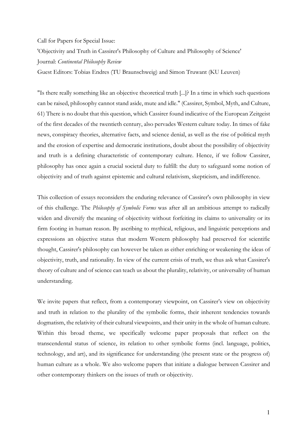## Call for Papers for Special Issue:

'Objectivity and Truth in Cassirer's Philosophy of Culture and Philosophy of Science' Journal: *Continental Philosophy Review*

Guest Editors: Tobias Endres (TU Braunschweig) and Simon Truwant (KU Leuven)

"Is there really something like an objective theoretical truth [...]? In a time in which such questions can be raised, philosophy cannot stand aside, mute and idle." (Cassirer, Symbol, Myth, and Culture, 61) There is no doubt that this question, which Cassirer found indicative of the European Zeitgeist of the first decades of the twentieth century, also pervades Western culture today. In times of fake news, conspiracy theories, alternative facts, and science denial, as well as the rise of political myth and the erosion of expertise and democratic institutions, doubt about the possibility of objectivity and truth is a defining characteristic of contemporary culture. Hence, if we follow Cassirer, philosophy has once again a crucial societal duty to fulfill: the duty to safeguard some notion of objectivity and of truth against epistemic and cultural relativism, skepticism, and indifference.

This collection of essays reconsiders the enduring relevance of Cassirer's own philosophy in view of this challenge. The *Philosophy of Symbolic Forms* was after all an ambitious attempt to radically widen and diversify the meaning of objectivity without forfeiting its claims to universality or its firm footing in human reason. By ascribing to mythical, religious, and linguistic perceptions and expressions an objective status that modern Western philosophy had preserved for scientific thought, Cassirer's philosophy can however be taken as either enriching or weakening the ideas of objectivity, truth, and rationality. In view of the current crisis of truth, we thus ask what Cassirer's theory of culture and of science can teach us about the plurality, relativity, or universality of human understanding.

We invite papers that reflect, from a contemporary viewpoint, on Cassirer's view on objectivity and truth in relation to the plurality of the symbolic forms, their inherent tendencies towards dogmatism, the relativity of their cultural viewpoints, and their unity in the whole of human culture. Within this broad theme, we specifically welcome paper proposals that reflect on the transcendental status of science, its relation to other symbolic forms (incl. language, politics, technology, and art), and its significance for understanding (the present state or the progress of) human culture as a whole. We also welcome papers that initiate a dialogue between Cassirer and other contemporary thinkers on the issues of truth or objectivity.